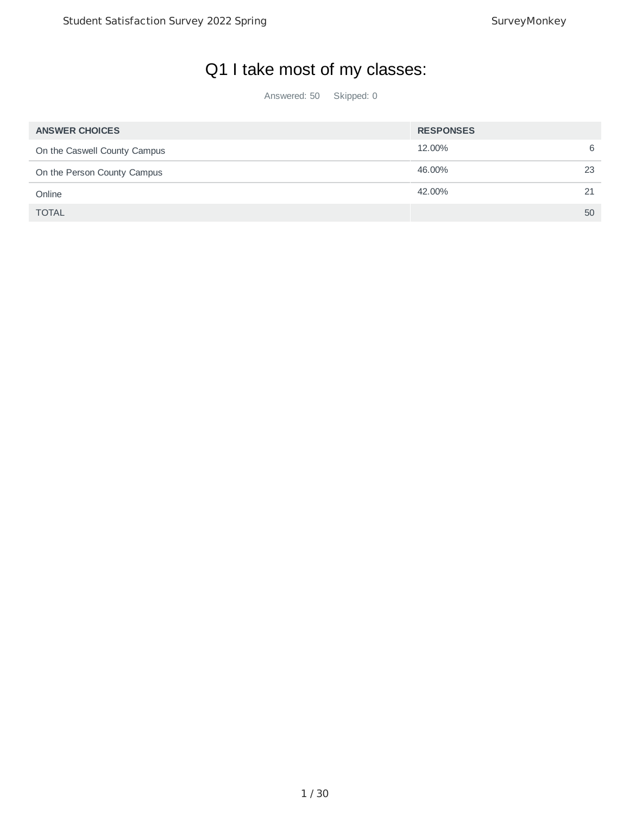## Q1 I take most of my classes:

| <b>ANSWER CHOICES</b>        | <b>RESPONSES</b> |    |
|------------------------------|------------------|----|
| On the Caswell County Campus | 12.00%           | 6  |
| On the Person County Campus  | 46.00%           | 23 |
| Online                       | 42.00%           | 21 |
| <b>TOTAL</b>                 |                  | 50 |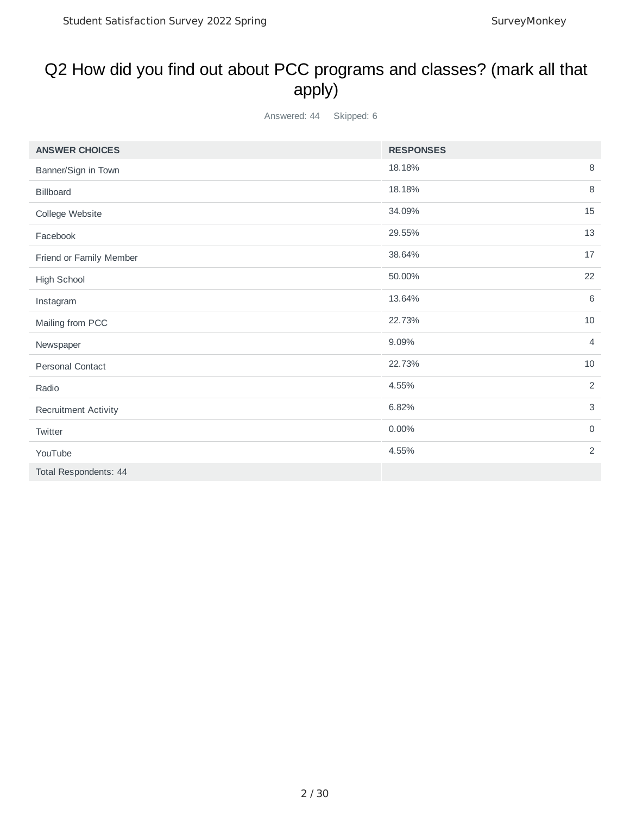#### Q2 How did you find out about PCC programs and classes? (mark all that apply)

| <b>ANSWER CHOICES</b>       | <b>RESPONSES</b>        |             |
|-----------------------------|-------------------------|-------------|
| Banner/Sign in Town         | 8<br>18.18%             |             |
| Billboard                   | 8<br>18.18%             |             |
| College Website             | 34.09%<br>15            |             |
| Facebook                    | 13<br>29.55%            |             |
| Friend or Family Member     | 38.64%<br>17            |             |
| High School                 | 22<br>50.00%            |             |
| Instagram                   | 6<br>13.64%             |             |
| Mailing from PCC            | 10<br>22.73%            |             |
| Newspaper                   | 9.09%<br>$\overline{4}$ |             |
| <b>Personal Contact</b>     | 22.73%<br>10            |             |
| Radio                       | 2<br>4.55%              |             |
| <b>Recruitment Activity</b> | 6.82%                   | $\mathsf 3$ |
| Twitter                     | $\mathsf{O}$<br>0.00%   |             |
| YouTube                     | 4.55%                   | 2           |
| Total Respondents: 44       |                         |             |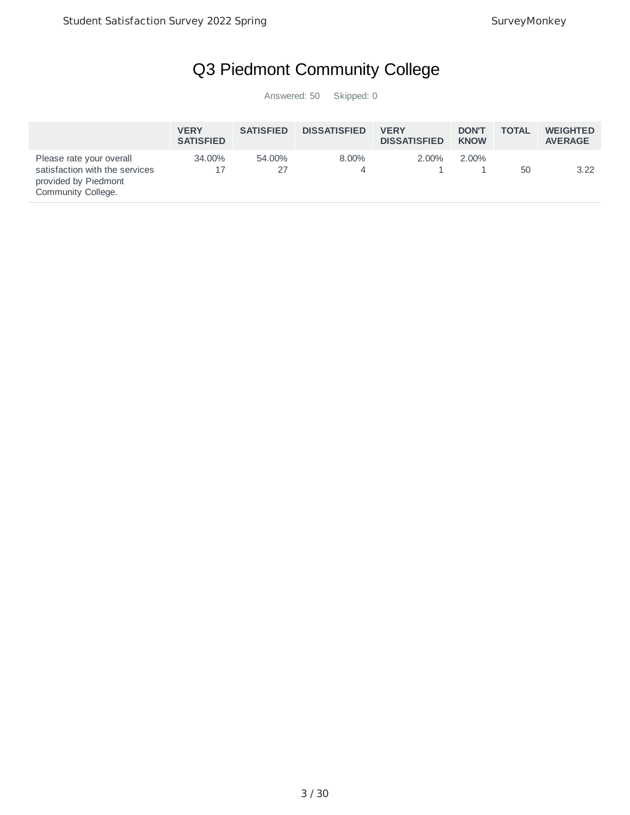## Q3 Piedmont Community College

|                                                                                                          | <b>VERY</b><br><b>SATISFIED</b> | <b>SATISFIED</b> | <b>DISSATISFIED</b> | <b>VERY</b><br><b>DISSATISFIED</b> | <b>DON'T</b><br><b>KNOW</b> | <b>TOTAL</b> | <b>WEIGHTED</b><br><b>AVERAGE</b> |
|----------------------------------------------------------------------------------------------------------|---------------------------------|------------------|---------------------|------------------------------------|-----------------------------|--------------|-----------------------------------|
| Please rate your overall<br>satisfaction with the services<br>provided by Piedmont<br>Community College. | 34.00%                          | 54.00%<br>27     | $8.00\%$            | $2.00\%$                           | 2.00%                       | 50           | 3.22                              |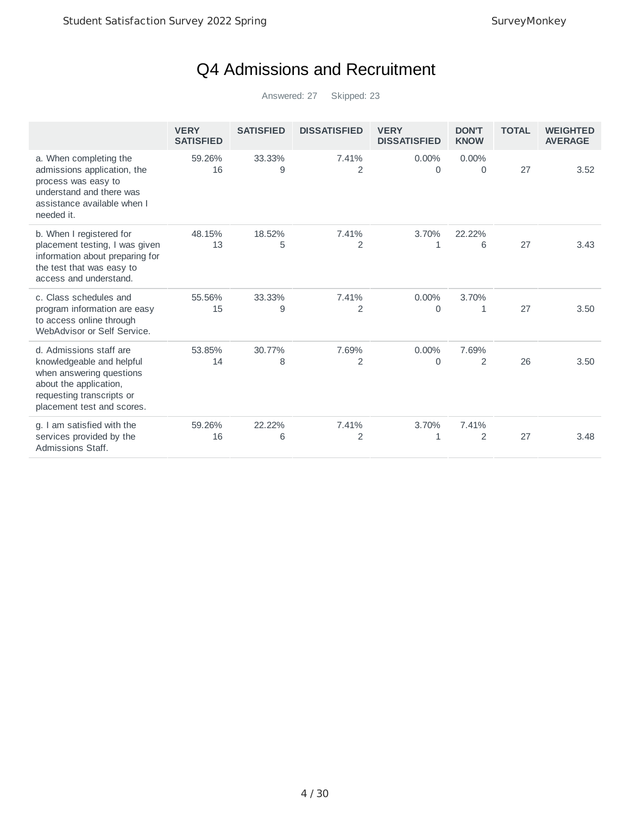## Q4 Admissions and Recruitment

|                                                                                                                                                                       | <b>VERY</b><br><b>SATISFIED</b> | <b>SATISFIED</b> | <b>DISSATISFIED</b> | <b>VERY</b><br><b>DISSATISFIED</b> | <b>DON'T</b><br><b>KNOW</b> | <b>TOTAL</b> | <b>WEIGHTED</b><br><b>AVERAGE</b> |
|-----------------------------------------------------------------------------------------------------------------------------------------------------------------------|---------------------------------|------------------|---------------------|------------------------------------|-----------------------------|--------------|-----------------------------------|
| a. When completing the<br>admissions application, the<br>process was easy to<br>understand and there was<br>assistance available when I<br>needed it.                 | 59.26%<br>16                    | 33.33%<br>9      | 7.41%<br>2          | 0.00%<br>0                         | $0.00\%$<br>0               | 27           | 3.52                              |
| b. When I registered for<br>placement testing, I was given<br>information about preparing for<br>the test that was easy to<br>access and understand.                  | 48.15%<br>13                    | 18.52%<br>5      | 7.41%<br>2          | 3.70%<br>1                         | 22.22%<br>6                 | 27           | 3.43                              |
| c. Class schedules and<br>program information are easy<br>to access online through<br>WebAdvisor or Self Service.                                                     | 55.56%<br>15                    | 33.33%<br>9      | 7.41%<br>2          | 0.00%<br>0                         | 3.70%<br>1                  | 27           | 3.50                              |
| d. Admissions staff are<br>knowledgeable and helpful<br>when answering questions<br>about the application,<br>requesting transcripts or<br>placement test and scores. | 53.85%<br>14                    | 30.77%<br>8      | 7.69%<br>2          | 0.00%<br>$\Omega$                  | 7.69%<br>2                  | 26           | 3.50                              |
| g. I am satisfied with the<br>services provided by the<br>Admissions Staff.                                                                                           | 59.26%<br>16                    | 22.22%<br>6      | 7.41%<br>2          | 3.70%<br>1                         | 7.41%<br>2                  | 27           | 3.48                              |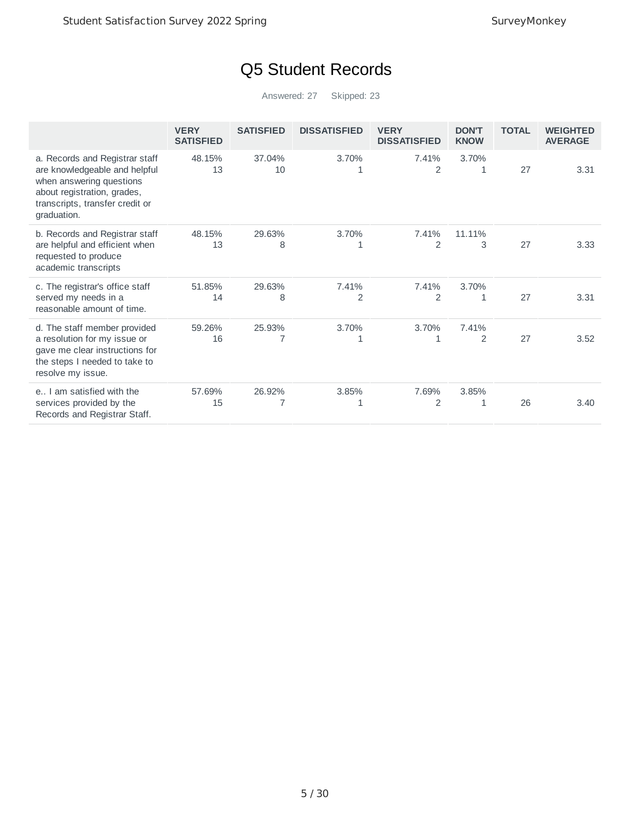## Q5 Student Records

|                                                                                                                                                                              | <b>VERY</b><br><b>SATISFIED</b> | <b>SATISFIED</b> | <b>DISSATISFIED</b> | <b>VERY</b><br><b>DISSATISFIED</b> | <b>DON'T</b><br><b>KNOW</b> | <b>TOTAL</b> | <b>WEIGHTED</b><br><b>AVERAGE</b> |
|------------------------------------------------------------------------------------------------------------------------------------------------------------------------------|---------------------------------|------------------|---------------------|------------------------------------|-----------------------------|--------------|-----------------------------------|
| a. Records and Registrar staff<br>are knowledgeable and helpful<br>when answering questions<br>about registration, grades,<br>transcripts, transfer credit or<br>graduation. | 48.15%<br>13                    | 37.04%<br>10     | 3.70%<br>1          | 7.41%<br>2                         | 3.70%<br>1                  | 27           | 3.31                              |
| b. Records and Registrar staff<br>are helpful and efficient when<br>requested to produce<br>academic transcripts                                                             | 48.15%<br>13                    | 29.63%<br>8      | 3.70%<br>1          | 7.41%<br>2                         | 11.11%<br>3                 | 27           | 3.33                              |
| c. The registrar's office staff<br>served my needs in a<br>reasonable amount of time.                                                                                        | 51.85%<br>14                    | 29.63%<br>8      | 7.41%<br>2          | 7.41%<br>$\overline{2}$            | 3.70%<br>1                  | 27           | 3.31                              |
| d. The staff member provided<br>a resolution for my issue or<br>gave me clear instructions for<br>the steps I needed to take to<br>resolve my issue.                         | 59.26%<br>16                    | 25.93%           | 3.70%<br>1          | 3.70%<br>1                         | 7.41%<br>$\overline{2}$     | 27           | 3.52                              |
| e I am satisfied with the<br>services provided by the<br>Records and Registrar Staff.                                                                                        | 57.69%<br>15                    | 26.92%           | 3.85%<br>1          | 7.69%<br>2                         | 3.85%<br>1                  | 26           | 3.40                              |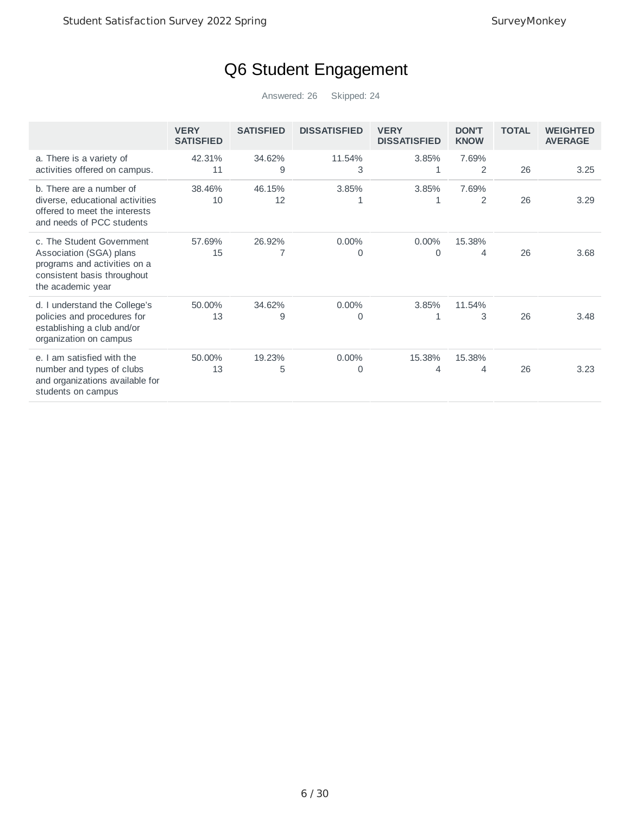## Q6 Student Engagement

|                                                                                                                                          | <b>VERY</b><br><b>SATISFIED</b> | <b>SATISFIED</b> | <b>DISSATISFIED</b> | <b>VERY</b><br><b>DISSATISFIED</b> | <b>DON'T</b><br><b>KNOW</b> | <b>TOTAL</b> | <b>WEIGHTED</b><br><b>AVERAGE</b> |
|------------------------------------------------------------------------------------------------------------------------------------------|---------------------------------|------------------|---------------------|------------------------------------|-----------------------------|--------------|-----------------------------------|
| a. There is a variety of<br>activities offered on campus.                                                                                | 42.31%<br>11                    | 34.62%<br>9      | 11.54%<br>3         | 3.85%<br>1                         | 7.69%<br>2                  | 26           | 3.25                              |
| b. There are a number of<br>diverse, educational activities<br>offered to meet the interests<br>and needs of PCC students                | 38.46%<br>10                    | 46.15%<br>12     | 3.85%<br>1          | 3.85%<br>1                         | 7.69%<br>2                  | 26           | 3.29                              |
| c. The Student Government<br>Association (SGA) plans<br>programs and activities on a<br>consistent basis throughout<br>the academic year | 57.69%<br>15                    | 26.92%<br>7      | $0.00\%$<br>0       | 0.00%<br>0                         | 15.38%<br>4                 | 26           | 3.68                              |
| d. I understand the College's<br>policies and procedures for<br>establishing a club and/or<br>organization on campus                     | 50.00%<br>13                    | 34.62%<br>9      | 0.00%<br>0          | 3.85%                              | 11.54%<br>3                 | 26           | 3.48                              |
| am satisfied with the<br>$e_{1}$<br>number and types of clubs<br>and organizations available for<br>students on campus                   | 50.00%<br>13                    | 19.23%<br>5      | 0.00%<br>0          | 15.38%<br>4                        | 15.38%<br>4                 | 26           | 3.23                              |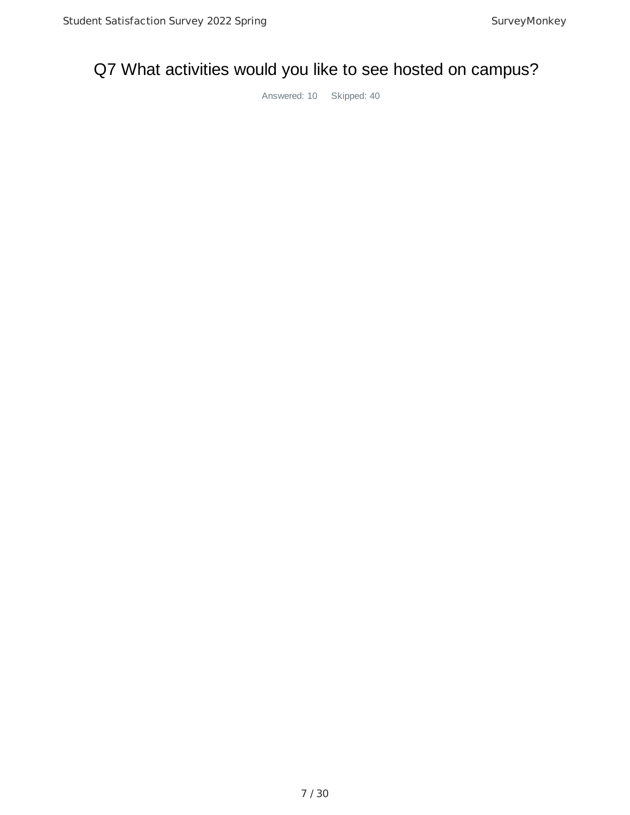## Q7 What activities would you like to see hosted on campus?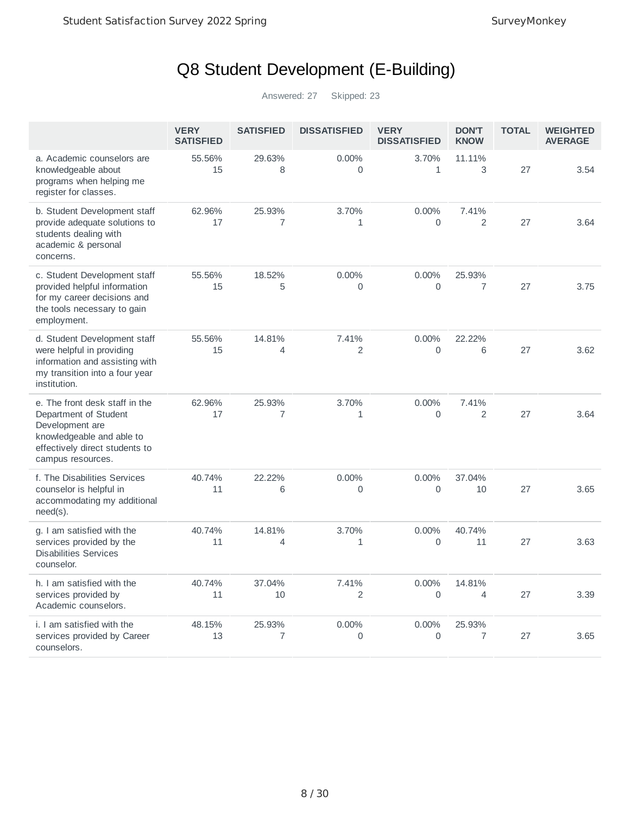## Q8 Student Development (E-Building)

|                                                                                                                                                                | <b>VERY</b><br><b>SATISFIED</b> | <b>SATISFIED</b>         | <b>DISSATISFIED</b>     | <b>VERY</b><br><b>DISSATISFIED</b> | <b>DON'T</b><br><b>KNOW</b>        | <b>TOTAL</b> | <b>WEIGHTED</b><br><b>AVERAGE</b> |
|----------------------------------------------------------------------------------------------------------------------------------------------------------------|---------------------------------|--------------------------|-------------------------|------------------------------------|------------------------------------|--------------|-----------------------------------|
| a. Academic counselors are<br>knowledgeable about<br>programs when helping me<br>register for classes.                                                         | 55.56%<br>15                    | 29.63%<br>8              | 0.00%<br>0              | 3.70%<br>$\mathbf{1}$              | 11.11%<br>3                        | 27           | 3.54                              |
| b. Student Development staff<br>provide adequate solutions to<br>students dealing with<br>academic & personal<br>concerns.                                     | 62.96%<br>17                    | 25.93%<br>7              | 3.70%<br>$\mathbf{1}$   | 0.00%<br>0                         | 7.41%<br>$\overline{2}$            | 27           | 3.64                              |
| c. Student Development staff<br>provided helpful information<br>for my career decisions and<br>the tools necessary to gain<br>employment.                      | 55.56%<br>15                    | 18.52%<br>5              | 0.00%<br>$\overline{0}$ | 0.00%<br>$\overline{0}$            | 25.93%<br>$\overline{7}$           | 27           | 3.75                              |
| d. Student Development staff<br>were helpful in providing<br>information and assisting with<br>my transition into a four year<br>institution.                  | 55.56%<br>15                    | 14.81%<br>4              | 7.41%<br>$\overline{c}$ | $0.00\%$<br>0                      | 22.22%<br>6                        | 27           | 3.62                              |
| e. The front desk staff in the<br>Department of Student<br>Development are<br>knowledgeable and able to<br>effectively direct students to<br>campus resources. | 62.96%<br>17                    | 25.93%<br>7              | 3.70%<br>$\mathbf{1}$   | 0.00%<br>0                         | 7.41%<br>$\overline{2}$            | 27           | 3.64                              |
| f. The Disabilities Services<br>counselor is helpful in<br>accommodating my additional<br>$need(s)$ .                                                          | 40.74%<br>11                    | 22.22%<br>6              | 0.00%<br>0              | 0.00%<br>$\overline{0}$            | 37.04%<br>10                       | 27           | 3.65                              |
| g. I am satisfied with the<br>services provided by the<br><b>Disabilities Services</b><br>counselor.                                                           | 40.74%<br>11                    | 14.81%<br>$\overline{4}$ | 3.70%<br>$\mathbf{1}$   | 0.00%<br>$\overline{0}$            | 40.74%<br>11                       | 27           | 3.63                              |
| h. I am satisfied with the<br>services provided by<br>Academic counselors.                                                                                     | 40.74%<br>11                    | 37.04%<br>10             | 7.41%<br>$\overline{2}$ | $0.00\%$<br>0                      | 14.81%<br>$\overline{\mathcal{A}}$ | 27           | 3.39                              |
| i. I am satisfied with the<br>services provided by Career<br>counselors.                                                                                       | 48.15%<br>13                    | 25.93%<br>7              | 0.00%<br>0              | 0.00%<br>0                         | 25.93%<br>7                        | 27           | 3.65                              |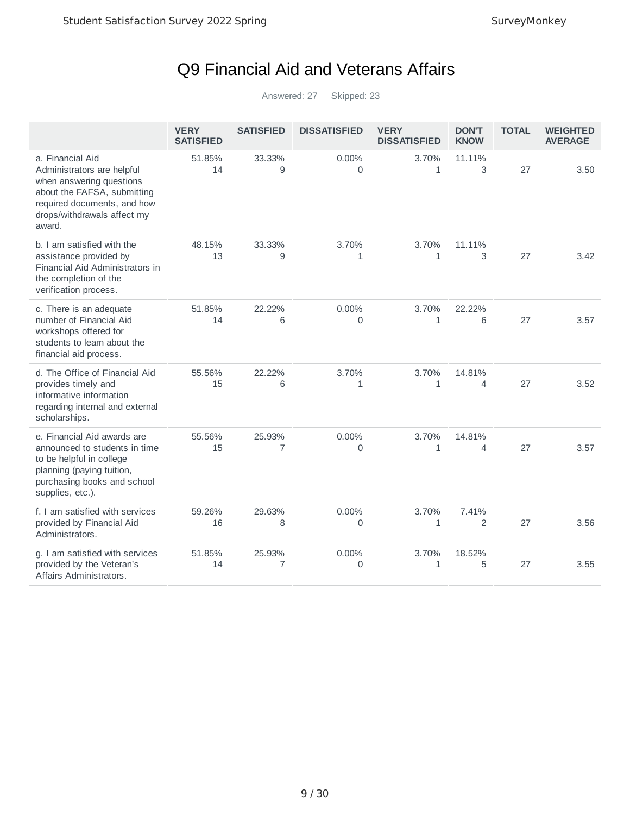## Q9 Financial Aid and Veterans Affairs

|                                                                                                                                                                                   | <b>VERY</b><br><b>SATISFIED</b> | <b>SATISFIED</b> | <b>DISSATISFIED</b>   | <b>VERY</b><br><b>DISSATISFIED</b> | <b>DON'T</b><br><b>KNOW</b>        | <b>TOTAL</b> | <b>WEIGHTED</b><br><b>AVERAGE</b> |
|-----------------------------------------------------------------------------------------------------------------------------------------------------------------------------------|---------------------------------|------------------|-----------------------|------------------------------------|------------------------------------|--------------|-----------------------------------|
| a. Financial Aid<br>Administrators are helpful<br>when answering questions<br>about the FAFSA, submitting<br>required documents, and how<br>drops/withdrawals affect my<br>award. | 51.85%<br>14                    | 33.33%<br>9      | 0.00%<br>0            | 3.70%<br>$\mathbf{1}$              | 11.11%<br>3                        | 27           | 3.50                              |
| b. I am satisfied with the<br>assistance provided by<br>Financial Aid Administrators in<br>the completion of the<br>verification process.                                         | 48.15%<br>13                    | 33.33%<br>9      | 3.70%<br>$\mathbf{1}$ | 3.70%<br>$\mathbf{1}$              | 11.11%<br>3                        | 27           | 3.42                              |
| c. There is an adequate<br>number of Financial Aid<br>workshops offered for<br>students to learn about the<br>financial aid process.                                              | 51.85%<br>14                    | 22.22%<br>6      | 0.00%<br>0            | 3.70%<br>1                         | 22.22%<br>6                        | 27           | 3.57                              |
| d. The Office of Financial Aid<br>provides timely and<br>informative information<br>regarding internal and external<br>scholarships.                                              | 55.56%<br>15                    | 22.22%<br>6      | 3.70%<br>$\mathbf{1}$ | 3.70%<br>$\mathbf{1}$              | 14.81%<br>4                        | 27           | 3.52                              |
| e. Financial Aid awards are<br>announced to students in time<br>to be helpful in college<br>planning (paying tuition,<br>purchasing books and school<br>supplies, etc.).          | 55.56%<br>15                    | 25.93%<br>7      | 0.00%<br>0            | 3.70%<br>$\mathbf{1}$              | 14.81%<br>$\overline{\mathcal{A}}$ | 27           | 3.57                              |
| f. I am satisfied with services<br>provided by Financial Aid<br>Administrators.                                                                                                   | 59.26%<br>16                    | 29.63%<br>8      | 0.00%<br>0            | 3.70%<br>1                         | 7.41%<br>$\overline{2}$            | 27           | 3.56                              |
| g. I am satisfied with services<br>provided by the Veteran's<br>Affairs Administrators.                                                                                           | 51.85%<br>14                    | 25.93%<br>7      | 0.00%<br>0            | 3.70%<br>$\mathbf{1}$              | 18.52%<br>5                        | 27           | 3.55                              |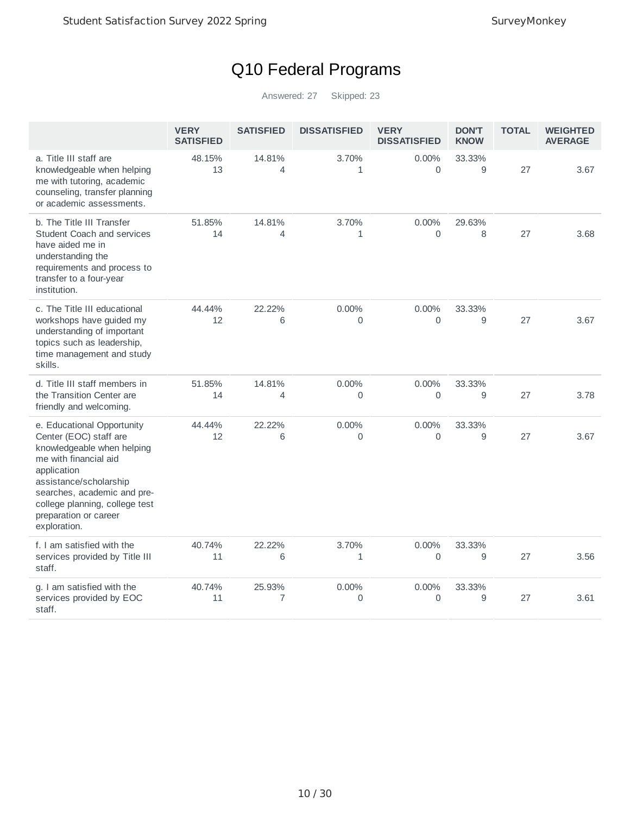## Q10 Federal Programs

|                                                                                                                                                                                                                                                                | <b>VERY</b><br><b>SATISFIED</b> | <b>SATISFIED</b>         | <b>DISSATISFIED</b>   | <b>VERY</b><br><b>DISSATISFIED</b> | <b>DON'T</b><br><b>KNOW</b> | <b>TOTAL</b> | <b>WEIGHTED</b><br><b>AVERAGE</b> |
|----------------------------------------------------------------------------------------------------------------------------------------------------------------------------------------------------------------------------------------------------------------|---------------------------------|--------------------------|-----------------------|------------------------------------|-----------------------------|--------------|-----------------------------------|
| a. Title III staff are<br>knowledgeable when helping<br>me with tutoring, academic<br>counseling, transfer planning<br>or academic assessments.                                                                                                                | 48.15%<br>13                    | 14.81%<br>$\overline{4}$ | 3.70%<br>$\mathbf{1}$ | $0.00\%$<br>$\Omega$               | 33.33%<br>9                 | 27           | 3.67                              |
| b. The Title III Transfer<br>Student Coach and services<br>have aided me in<br>understanding the<br>requirements and process to<br>transfer to a four-year<br>institution.                                                                                     | 51.85%<br>14                    | 14.81%<br>$\overline{4}$ | 3.70%<br>$\mathbf{1}$ | 0.00%<br>$\Omega$                  | 29.63%<br>8                 | 27           | 3.68                              |
| c. The Title III educational<br>workshops have guided my<br>understanding of important<br>topics such as leadership,<br>time management and study<br>skills.                                                                                                   | 44.44%<br>12                    | 22.22%<br>6              | 0.00%<br>0            | 0.00%<br>0                         | 33.33%<br>9                 | 27           | 3.67                              |
| d. Title III staff members in<br>the Transition Center are<br>friendly and welcoming.                                                                                                                                                                          | 51.85%<br>14                    | 14.81%<br>$\overline{4}$ | 0.00%<br>$\Omega$     | 0.00%<br>$\Omega$                  | 33.33%<br>9                 | 27           | 3.78                              |
| e. Educational Opportunity<br>Center (EOC) staff are<br>knowledgeable when helping<br>me with financial aid<br>application<br>assistance/scholarship<br>searches, academic and pre-<br>college planning, college test<br>preparation or career<br>exploration. | 44.44%<br>12                    | 22.22%<br>6              | 0.00%<br>0            | 0.00%<br>$\Omega$                  | 33.33%<br>9                 | 27           | 3.67                              |
| f. I am satisfied with the<br>services provided by Title III<br>staff.                                                                                                                                                                                         | 40.74%<br>11                    | 22.22%<br>6              | 3.70%<br>1            | 0.00%<br>$\mathbf 0$               | 33.33%<br>9                 | 27           | 3.56                              |
| g. I am satisfied with the<br>services provided by EOC<br>staff.                                                                                                                                                                                               | 40.74%<br>11                    | 25.93%<br>7              | 0.00%<br>0            | 0.00%<br>0                         | 33.33%<br>9                 | 27           | 3.61                              |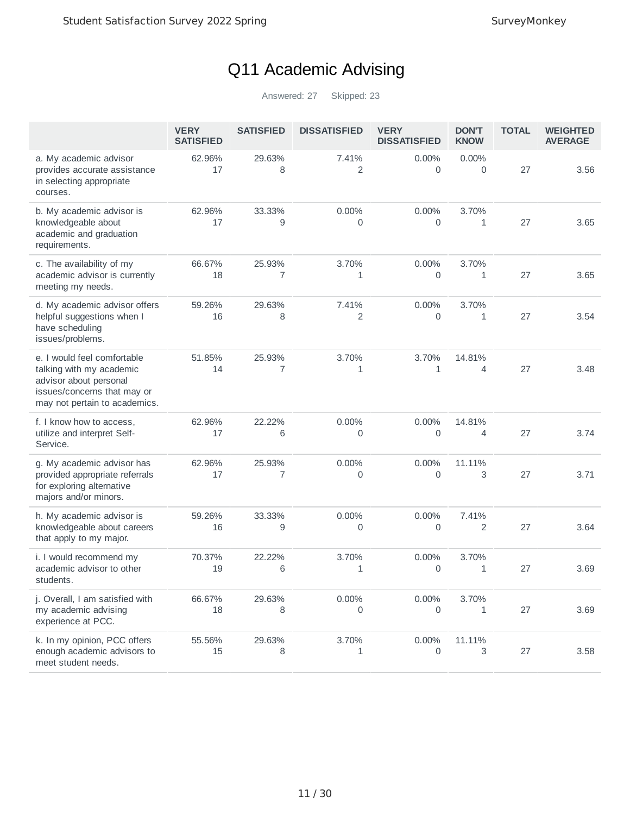## Q11 Academic Advising

|                                                                                                                                                   | <b>VERY</b><br><b>SATISFIED</b> | <b>SATISFIED</b> | <b>DISSATISFIED</b> | <b>VERY</b><br><b>DISSATISFIED</b> | <b>DON'T</b><br><b>KNOW</b> | <b>TOTAL</b> | <b>WEIGHTED</b><br><b>AVERAGE</b> |
|---------------------------------------------------------------------------------------------------------------------------------------------------|---------------------------------|------------------|---------------------|------------------------------------|-----------------------------|--------------|-----------------------------------|
| a. My academic advisor<br>provides accurate assistance<br>in selecting appropriate<br>courses.                                                    | 62.96%<br>17                    | 29.63%<br>8      | 7.41%<br>2          | $0.00\%$<br>$\Omega$               | $0.00\%$<br>0               | 27           | 3.56                              |
| b. My academic advisor is<br>knowledgeable about<br>academic and graduation<br>requirements.                                                      | 62.96%<br>17                    | 33.33%<br>9      | $0.00\%$<br>0       | 0.00%<br>0                         | 3.70%<br>1                  | 27           | 3.65                              |
| c. The availability of my<br>academic advisor is currently<br>meeting my needs.                                                                   | 66.67%<br>18                    | 25.93%<br>7      | 3.70%<br>1          | 0.00%<br>0                         | 3.70%<br>1                  | 27           | 3.65                              |
| d. My academic advisor offers<br>helpful suggestions when I<br>have scheduling<br>issues/problems.                                                | 59.26%<br>16                    | 29.63%<br>8      | 7.41%<br>2          | $0.00\%$<br>0                      | 3.70%<br>1                  | 27           | 3.54                              |
| e. I would feel comfortable<br>talking with my academic<br>advisor about personal<br>issues/concerns that may or<br>may not pertain to academics. | 51.85%<br>14                    | 25.93%<br>7      | 3.70%<br>1          | 3.70%<br>1                         | 14.81%<br>4                 | 27           | 3.48                              |
| f. I know how to access,<br>utilize and interpret Self-<br>Service.                                                                               | 62.96%<br>17                    | 22.22%<br>6      | 0.00%<br>0          | 0.00%<br>0                         | 14.81%<br>4                 | 27           | 3.74                              |
| g. My academic advisor has<br>provided appropriate referrals<br>for exploring alternative<br>majors and/or minors.                                | 62.96%<br>17                    | 25.93%<br>7      | 0.00%<br>0          | 0.00%<br>0                         | 11.11%<br>3                 | 27           | 3.71                              |
| h. My academic advisor is<br>knowledgeable about careers<br>that apply to my major.                                                               | 59.26%<br>16                    | 33.33%<br>9      | 0.00%<br>0          | 0.00%<br>0                         | 7.41%<br>2                  | 27           | 3.64                              |
| i. I would recommend my<br>academic advisor to other<br>students.                                                                                 | 70.37%<br>19                    | 22.22%<br>6      | 3.70%<br>1          | 0.00%<br>0                         | 3.70%<br>1                  | 27           | 3.69                              |
| j. Overall, I am satisfied with<br>my academic advising<br>experience at PCC.                                                                     | 66.67%<br>18                    | 29.63%<br>8      | 0.00%<br>0          | 0.00%<br>0                         | 3.70%<br>1                  | 27           | 3.69                              |
| k. In my opinion, PCC offers<br>enough academic advisors to<br>meet student needs.                                                                | 55.56%<br>15                    | 29.63%<br>8      | 3.70%<br>1          | 0.00%<br>0                         | 11.11%<br>3                 | 27           | 3.58                              |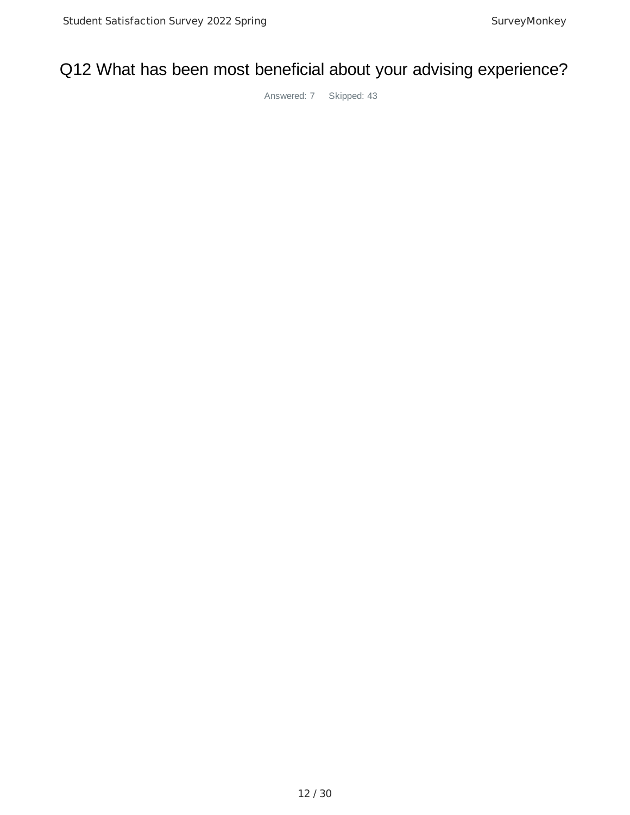#### Q12 What has been most beneficial about your advising experience?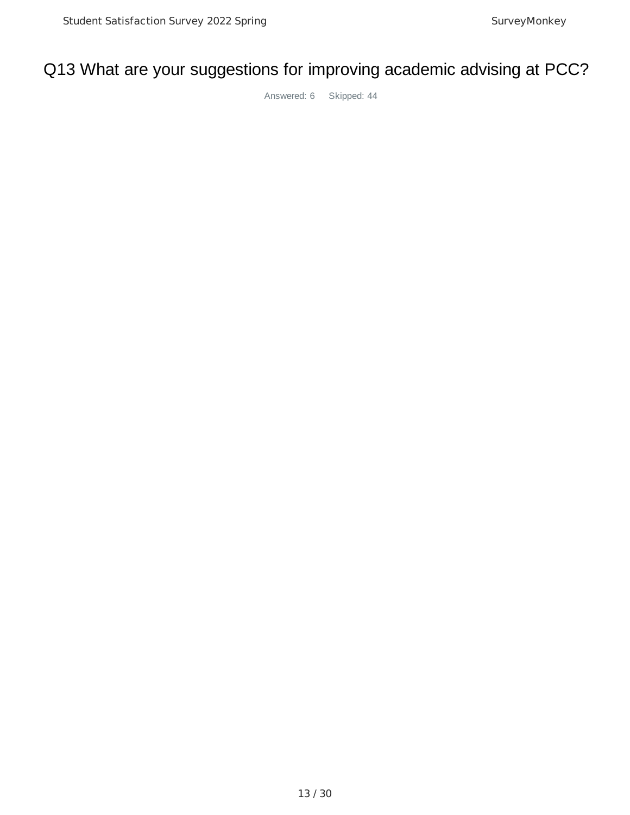#### Q13 What are your suggestions for improving academic advising at PCC?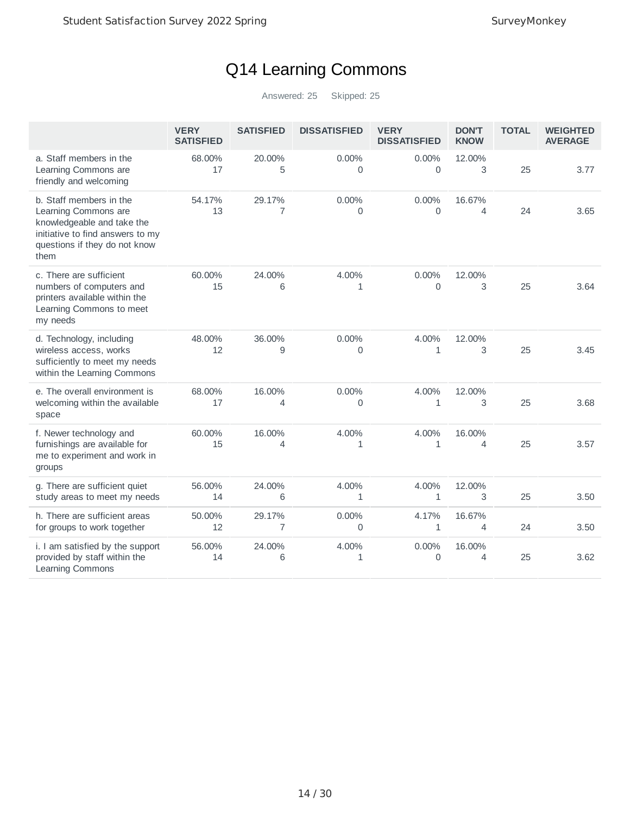## Q14 Learning Commons

|                                                                                                                                                            | <b>VERY</b><br><b>SATISFIED</b> | <b>SATISFIED</b> | <b>DISSATISFIED</b>   | <b>VERY</b><br><b>DISSATISFIED</b> | <b>DON'T</b><br><b>KNOW</b> | <b>TOTAL</b> | <b>WEIGHTED</b><br><b>AVERAGE</b> |
|------------------------------------------------------------------------------------------------------------------------------------------------------------|---------------------------------|------------------|-----------------------|------------------------------------|-----------------------------|--------------|-----------------------------------|
| a. Staff members in the<br>Learning Commons are<br>friendly and welcoming                                                                                  | 68.00%<br>17                    | 20.00%<br>5      | $0.00\%$<br>0         | $0.00\%$<br>$\Omega$               | 12.00%<br>3                 | 25           | 3.77                              |
| b. Staff members in the<br>Learning Commons are<br>knowledgeable and take the<br>initiative to find answers to my<br>questions if they do not know<br>them | 54.17%<br>13                    | 29.17%<br>7      | 0.00%<br>0            | 0.00%<br>$\mathbf 0$               | 16.67%<br>4                 | 24           | 3.65                              |
| c. There are sufficient<br>numbers of computers and<br>printers available within the<br>Learning Commons to meet<br>my needs                               | 60.00%<br>15                    | 24.00%<br>6      | 4.00%<br>$\mathbf{1}$ | 0.00%<br>$\Omega$                  | 12.00%<br>3                 | 25           | 3.64                              |
| d. Technology, including<br>wireless access, works<br>sufficiently to meet my needs<br>within the Learning Commons                                         | 48.00%<br>12                    | 36.00%<br>9      | 0.00%<br>0            | 4.00%<br>$\mathbf{1}$              | 12.00%<br>3                 | 25           | 3.45                              |
| e. The overall environment is<br>welcoming within the available<br>space                                                                                   | 68.00%<br>17                    | 16.00%<br>4      | 0.00%<br>0            | 4.00%<br>$\mathbf{1}$              | 12.00%<br>3                 | 25           | 3.68                              |
| f. Newer technology and<br>furnishings are available for<br>me to experiment and work in<br>groups                                                         | 60.00%<br>15                    | 16.00%<br>4      | 4.00%<br>$\mathbf{1}$ | 4.00%<br>$\mathbf{1}$              | 16.00%<br>4                 | 25           | 3.57                              |
| g. There are sufficient quiet<br>study areas to meet my needs                                                                                              | 56.00%<br>14                    | 24.00%<br>6      | 4.00%<br>$\mathbf{1}$ | 4.00%<br>$\mathbf{1}$              | 12.00%<br>3                 | 25           | 3.50                              |
| h. There are sufficient areas<br>for groups to work together                                                                                               | 50.00%<br>12                    | 29.17%<br>7      | 0.00%<br>0            | 4.17%<br>$\mathbf{1}$              | 16.67%<br>$\overline{4}$    | 24           | 3.50                              |
| i. I am satisfied by the support<br>provided by staff within the<br>Learning Commons                                                                       | 56.00%<br>14                    | 24.00%<br>6      | 4.00%<br>$\mathbf{1}$ | 0.00%<br>$\overline{0}$            | 16.00%<br>4                 | 25           | 3.62                              |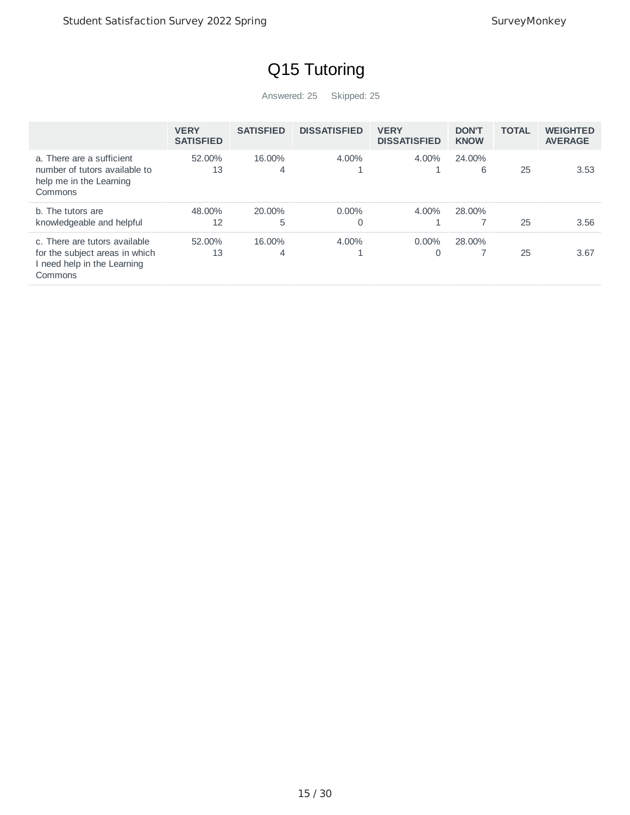# Q15 Tutoring

|                                                                                                           | <b>VERY</b><br><b>SATISFIED</b> | <b>SATISFIED</b> | <b>DISSATISFIED</b> | <b>VERY</b><br><b>DISSATISFIED</b> | <b>DON'T</b><br><b>KNOW</b> | <b>TOTAL</b> | <b>WEIGHTED</b><br><b>AVERAGE</b> |
|-----------------------------------------------------------------------------------------------------------|---------------------------------|------------------|---------------------|------------------------------------|-----------------------------|--------------|-----------------------------------|
| a. There are a sufficient<br>number of tutors available to<br>help me in the Learning<br>Commons          | 52.00%<br>13                    | 16.00%<br>4      | 4.00%               | 4.00%                              | 24.00%<br>6                 | 25           | 3.53                              |
| b. The tutors are<br>knowledgeable and helpful                                                            | 48.00%<br>12                    | 20.00%<br>5      | $0.00\%$<br>0       | 4.00%                              | 28.00%                      | 25           | 3.56                              |
| c. There are tutors available<br>for the subject areas in which<br>I need help in the Learning<br>Commons | 52.00%<br>13                    | 16.00%<br>4      | 4.00%               | $0.00\%$<br>$\Omega$               | 28.00%                      | 25           | 3.67                              |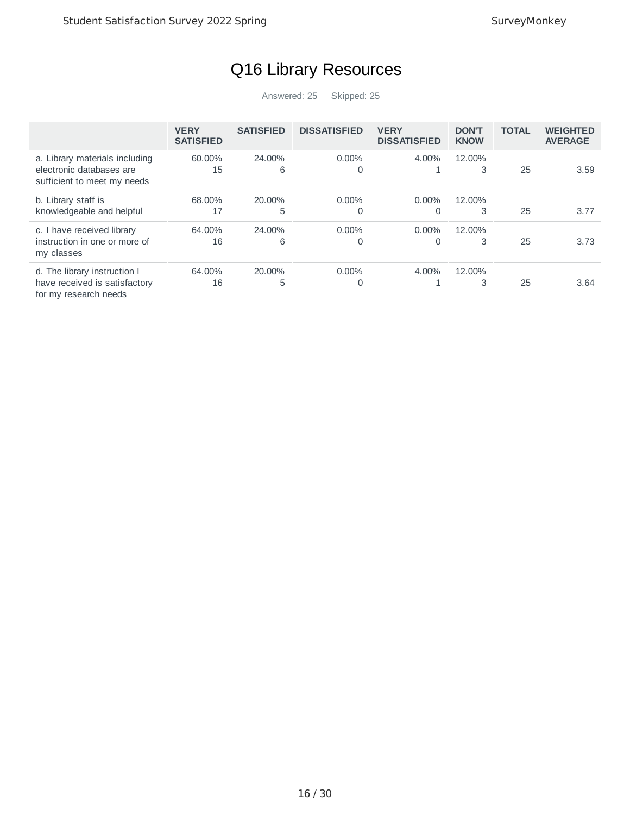## Q16 Library Resources

|                                                                                           | <b>VERY</b><br><b>SATISFIED</b> | <b>SATISFIED</b> | <b>DISSATISFIED</b>  | <b>VERY</b><br><b>DISSATISFIED</b> | <b>DON'T</b><br><b>KNOW</b> | <b>TOTAL</b> | <b>WEIGHTED</b><br><b>AVERAGE</b> |
|-------------------------------------------------------------------------------------------|---------------------------------|------------------|----------------------|------------------------------------|-----------------------------|--------------|-----------------------------------|
| a. Library materials including<br>electronic databases are<br>sufficient to meet my needs | 60.00%<br>15                    | 24.00%<br>6      | $0.00\%$<br>$\Omega$ | 4.00%                              | 12.00%<br>3                 | 25           | 3.59                              |
| b. Library staff is<br>knowledgeable and helpful                                          | 68.00%<br>17                    | 20.00%<br>5      | $0.00\%$<br>0        | $0.00\%$<br>0                      | 12.00%<br>3                 | 25           | 3.77                              |
| c. I have received library<br>instruction in one or more of<br>my classes                 | 64.00%<br>16                    | 24.00%<br>6      | $0.00\%$<br>0        | $0.00\%$<br>0                      | 12.00%<br>3                 | 25           | 3.73                              |
| d. The library instruction I<br>have received is satisfactory<br>for my research needs    | 64.00%<br>16                    | 20.00%<br>5      | $0.00\%$<br>0        | 4.00%                              | 12.00%<br>3                 | 25           | 3.64                              |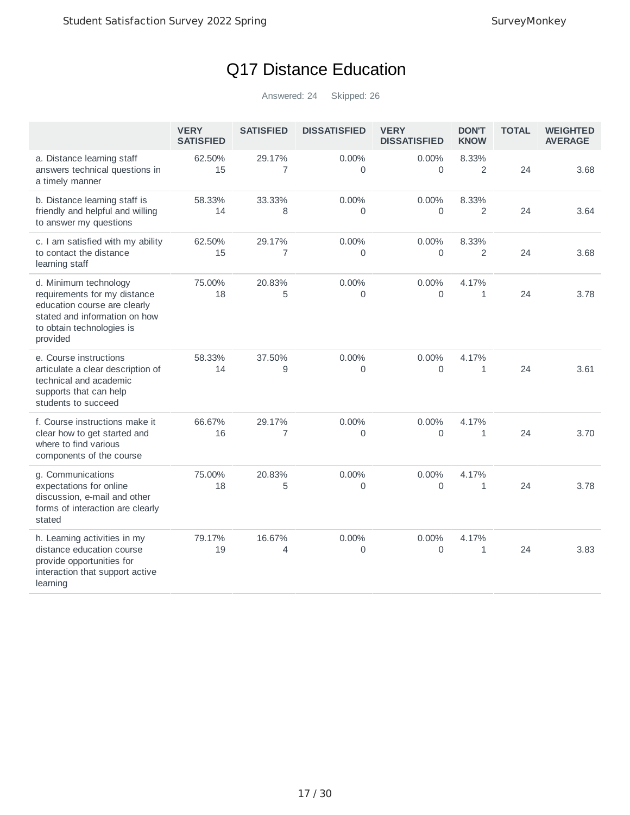## Q17 Distance Education

|                                                                                                                                                                 | <b>VERY</b><br><b>SATISFIED</b> | <b>SATISFIED</b>         | <b>DISSATISFIED</b>        | <b>VERY</b><br><b>DISSATISFIED</b> | <b>DON'T</b><br><b>KNOW</b> | <b>TOTAL</b> | <b>WEIGHTED</b><br><b>AVERAGE</b> |
|-----------------------------------------------------------------------------------------------------------------------------------------------------------------|---------------------------------|--------------------------|----------------------------|------------------------------------|-----------------------------|--------------|-----------------------------------|
| a. Distance learning staff<br>answers technical questions in<br>a timely manner                                                                                 | 62.50%<br>15                    | 29.17%<br>$\overline{7}$ | 0.00%<br>$\mathbf 0$       | $0.00\%$<br>0                      | 8.33%<br>2                  | 24           | 3.68                              |
| b. Distance learning staff is<br>friendly and helpful and willing<br>to answer my questions                                                                     | 58.33%<br>14                    | 33.33%<br>8              | $0.00\%$<br>$\overline{0}$ | $0.00\%$<br>$\mathbf 0$            | 8.33%<br>2                  | 24           | 3.64                              |
| c. I am satisfied with my ability<br>to contact the distance<br>learning staff                                                                                  | 62.50%<br>15                    | 29.17%<br>7              | 0.00%<br>$\overline{0}$    | 0.00%<br>$\Omega$                  | 8.33%<br>2                  | 24           | 3.68                              |
| d. Minimum technology<br>requirements for my distance<br>education course are clearly<br>stated and information on how<br>to obtain technologies is<br>provided | 75.00%<br>18                    | 20.83%<br>5              | 0.00%<br>$\Omega$          | 0.00%<br>$\Omega$                  | 4.17%<br>1                  | 24           | 3.78                              |
| e. Course instructions<br>articulate a clear description of<br>technical and academic<br>supports that can help<br>students to succeed                          | 58.33%<br>14                    | 37.50%<br>9              | 0.00%<br>$\Omega$          | 0.00%<br>$\Omega$                  | 4.17%<br>$\mathbf 1$        | 24           | 3.61                              |
| f. Course instructions make it<br>clear how to get started and<br>where to find various<br>components of the course                                             | 66.67%<br>16                    | 29.17%<br>7              | 0.00%<br>0                 | 0.00%<br>0                         | 4.17%<br>1                  | 24           | 3.70                              |
| g. Communications<br>expectations for online<br>discussion, e-mail and other<br>forms of interaction are clearly<br>stated                                      | 75.00%<br>18                    | 20.83%<br>5              | 0.00%<br>$\overline{0}$    | 0.00%<br>$\mathbf 0$               | 4.17%<br>1                  | 24           | 3.78                              |
| h. Learning activities in my<br>distance education course<br>provide opportunities for<br>interaction that support active<br>learning                           | 79.17%<br>19                    | 16.67%<br>4              | $0.00\%$<br>0              | $0.00\%$<br>$\Omega$               | 4.17%<br>1                  | 24           | 3.83                              |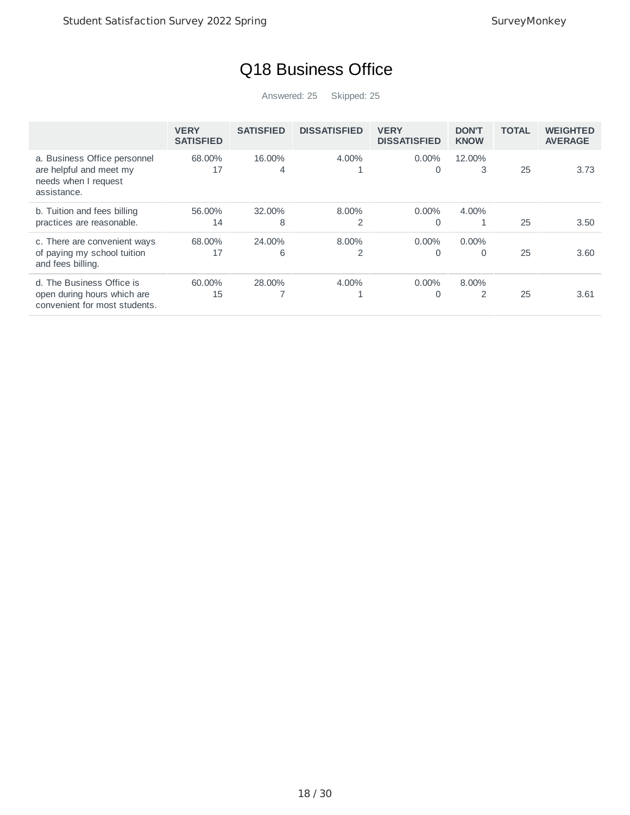## Q18 Business Office

|                                                                                                | <b>VERY</b><br><b>SATISFIED</b> | <b>SATISFIED</b> | <b>DISSATISFIED</b> | <b>VERY</b><br><b>DISSATISFIED</b> | <b>DON'T</b><br><b>KNOW</b> | <b>TOTAL</b> | <b>WEIGHTED</b><br><b>AVERAGE</b> |
|------------------------------------------------------------------------------------------------|---------------------------------|------------------|---------------------|------------------------------------|-----------------------------|--------------|-----------------------------------|
| a. Business Office personnel<br>are helpful and meet my<br>needs when I request<br>assistance. | 68.00%<br>17                    | 16.00%<br>4      | 4.00%               | $0.00\%$<br>0                      | 12.00%<br>3                 | 25           | 3.73                              |
| b. Tuition and fees billing<br>practices are reasonable.                                       | 56.00%<br>14                    | 32.00%<br>8      | 8.00%<br>2          | $0.00\%$<br>0                      | 4.00%                       | 25           | 3.50                              |
| c. There are convenient ways<br>of paying my school tuition<br>and fees billing.               | 68.00%<br>17                    | 24.00%<br>6      | 8.00%<br>2          | $0.00\%$<br>0                      | $0.00\%$<br>0               | 25           | 3.60                              |
| d. The Business Office is<br>open during hours which are<br>convenient for most students.      | 60.00%<br>15                    | 28.00%           | 4.00%               | $0.00\%$<br>0                      | 8.00%<br>2                  | 25           | 3.61                              |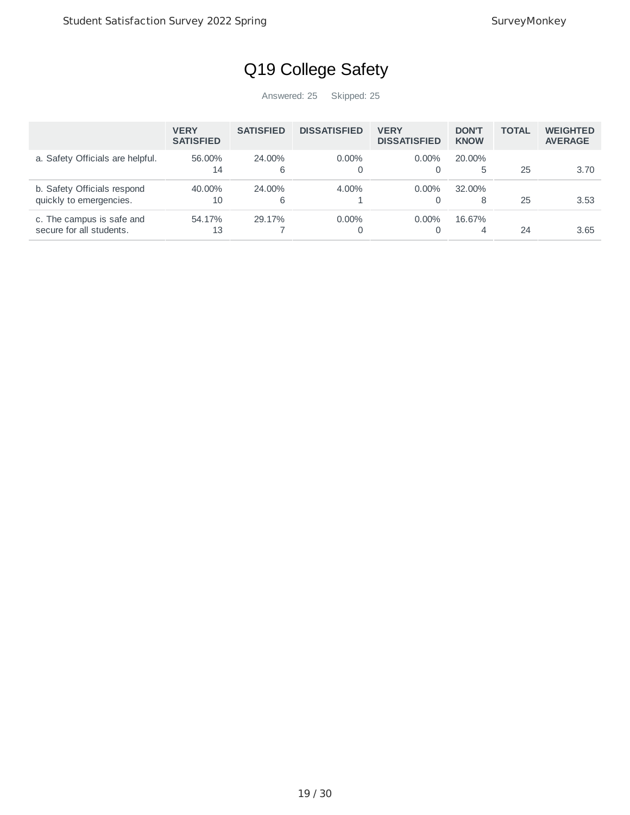## Q19 College Safety

|                                                        | <b>VERY</b><br><b>SATISFIED</b> | <b>SATISFIED</b> | <b>DISSATISFIED</b> | <b>VERY</b><br><b>DISSATISFIED</b> | <b>DON'T</b><br><b>KNOW</b> | <b>TOTAL</b> | <b>WEIGHTED</b><br><b>AVERAGE</b> |
|--------------------------------------------------------|---------------------------------|------------------|---------------------|------------------------------------|-----------------------------|--------------|-----------------------------------|
| a. Safety Officials are helpful.                       | 56.00%<br>14                    | 24.00%<br>6      | $0.00\%$            | $0.00\%$<br>0                      | 20.00%<br>5                 | 25           | 3.70                              |
| b. Safety Officials respond<br>quickly to emergencies. | 40.00%<br>10                    | 24.00%<br>6      | 4.00%               | $0.00\%$<br>$\Omega$               | $32.00\%$<br>8              | 25           | 3.53                              |
| c. The campus is safe and<br>secure for all students.  | 54.17%<br>13                    | 29.17%           | $0.00\%$            | $0.00\%$<br>0                      | 16.67%<br>4                 | 24           | 3.65                              |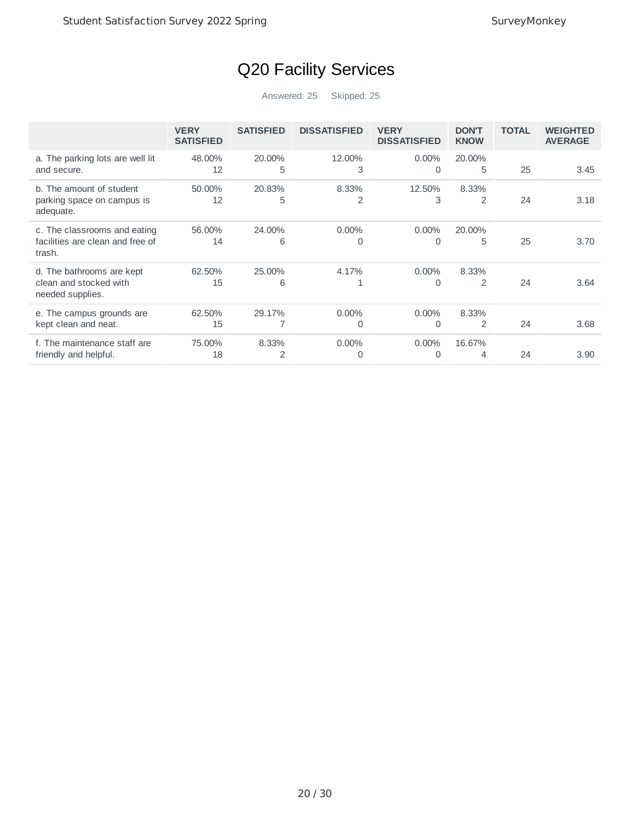# Q20 Facility Services

|                                                                            | <b>VERY</b><br><b>SATISFIED</b> | <b>SATISFIED</b> | <b>DISSATISFIED</b> | <b>VERY</b><br><b>DISSATISFIED</b> | <b>DON'T</b><br><b>KNOW</b> | <b>TOTAL</b> | <b>WEIGHTED</b><br><b>AVERAGE</b> |
|----------------------------------------------------------------------------|---------------------------------|------------------|---------------------|------------------------------------|-----------------------------|--------------|-----------------------------------|
| a. The parking lots are well lit<br>and secure.                            | 48.00%<br>12                    | 20.00%<br>5      | 12.00%<br>3         | $0.00\%$<br>0                      | 20.00%<br>5                 | 25           | 3.45                              |
| b. The amount of student<br>parking space on campus is<br>adequate.        | 50.00%<br>12                    | 20.83%<br>5      | 8.33%<br>2          | 12.50%<br>3                        | 8.33%<br>$\overline{2}$     | 24           | 3.18                              |
| c. The classrooms and eating<br>facilities are clean and free of<br>trash. | 56.00%<br>14                    | 24.00%<br>6      | $0.00\%$<br>0       | $0.00\%$<br>0                      | 20.00%<br>5                 | 25           | 3.70                              |
| d. The bathrooms are kept<br>clean and stocked with<br>needed supplies.    | 62.50%<br>15                    | 25.00%<br>6      | 4.17%               | $0.00\%$<br>0                      | 8.33%<br>$\overline{2}$     | 24           | 3.64                              |
| e. The campus grounds are<br>kept clean and neat.                          | 62.50%<br>15                    | 29.17%           | $0.00\%$<br>0       | $0.00\%$<br>0                      | 8.33%<br>$\overline{2}$     | 24           | 3.68                              |
| f. The maintenance staff are<br>friendly and helpful.                      | 75.00%<br>18                    | 8.33%<br>2       | $0.00\%$<br>0       | $0.00\%$<br>0                      | 16.67%<br>4                 | 24           | 3.90                              |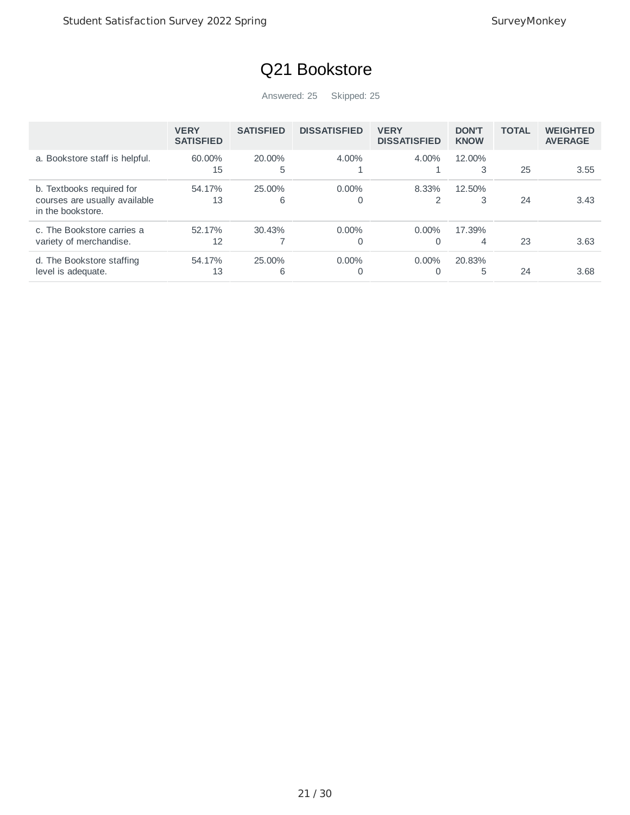## Q21 Bookstore

|                                                                                 | <b>VERY</b><br><b>SATISFIED</b> | <b>SATISFIED</b> | <b>DISSATISFIED</b>  | <b>VERY</b><br><b>DISSATISFIED</b> | <b>DON'T</b><br><b>KNOW</b> | <b>TOTAL</b> | <b>WEIGHTED</b><br><b>AVERAGE</b> |
|---------------------------------------------------------------------------------|---------------------------------|------------------|----------------------|------------------------------------|-----------------------------|--------------|-----------------------------------|
| a. Bookstore staff is helpful.                                                  | 60.00%<br>15                    | 20.00%<br>5      | 4.00%<br>ᅩ           | 4.00%                              | 12.00%<br>3                 | 25           | 3.55                              |
| b. Textbooks required for<br>courses are usually available<br>in the bookstore. | 54.17%<br>13                    | 25.00%<br>6      | $0.00\%$<br>0        | 8.33%<br>2                         | 12.50%<br>3                 | 24           | 3.43                              |
| c. The Bookstore carries a<br>variety of merchandise.                           | 52.17%<br>12                    | 30.43%           | $0.00\%$<br>$\Omega$ | $0.00\%$<br>$\Omega$               | 17.39%<br>4                 | 23           | 3.63                              |
| d. The Bookstore staffing<br>level is adequate.                                 | 54.17%<br>13                    | 25.00%<br>6      | $0.00\%$<br>0        | $0.00\%$<br>0                      | 20.83%<br>5                 | 24           | 3.68                              |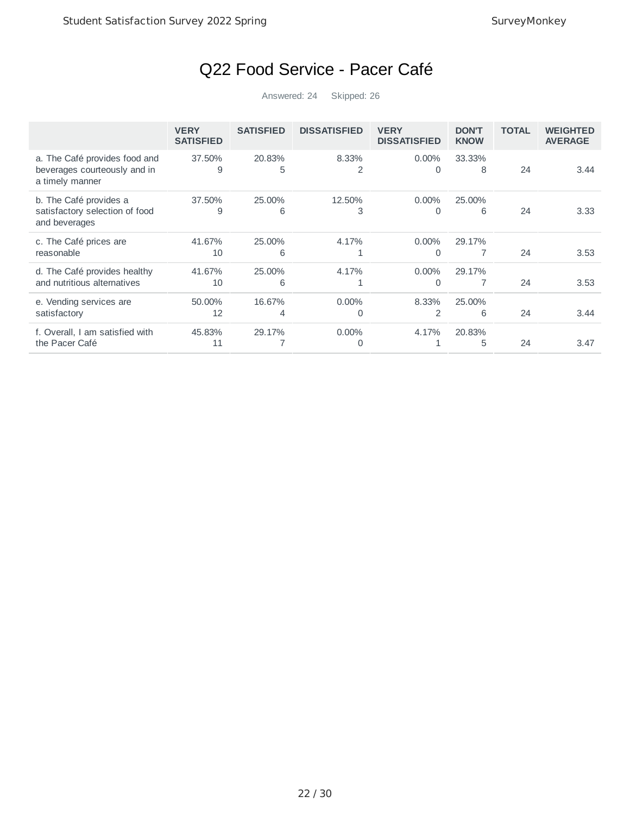## Q22 Food Service - Pacer Café

|                                                                                  | <b>VERY</b><br><b>SATISFIED</b> | <b>SATISFIED</b> | <b>DISSATISFIED</b> | <b>VERY</b><br><b>DISSATISFIED</b> | <b>DON'T</b><br><b>KNOW</b> | <b>TOTAL</b> | <b>WEIGHTED</b><br><b>AVERAGE</b> |
|----------------------------------------------------------------------------------|---------------------------------|------------------|---------------------|------------------------------------|-----------------------------|--------------|-----------------------------------|
| a. The Café provides food and<br>beverages courteously and in<br>a timely manner | 37.50%<br>9                     | 20.83%<br>5      | 8.33%<br>2          | $0.00\%$<br>0                      | 33.33%<br>8                 | 24           | 3.44                              |
| b. The Café provides a<br>satisfactory selection of food<br>and beverages        | 37.50%<br>9                     | 25,00%<br>6      | 12.50%<br>3         | $0.00\%$<br>0                      | 25.00%<br>6                 | 24           | 3.33                              |
| c. The Café prices are<br>reasonable                                             | 41.67%<br>10                    | 25.00%<br>6      | 4.17%               | $0.00\%$<br>$\Omega$               | 29.17%                      | 24           | 3.53                              |
| d. The Café provides healthy<br>and nutritious alternatives                      | 41.67%<br>10                    | 25.00%<br>6      | 4.17%               | $0.00\%$<br>O                      | 29.17%                      | 24           | 3.53                              |
| e. Vending services are<br>satisfactory                                          | 50.00%<br>12                    | 16.67%<br>4      | $0.00\%$<br>0       | 8.33%<br>2                         | 25.00%<br>6                 | 24           | 3.44                              |
| f. Overall, I am satisfied with<br>the Pacer Café                                | 45.83%<br>11                    | 29.17%           | $0.00\%$            | 4.17%                              | 20.83%<br>5                 | 24           | 3.47                              |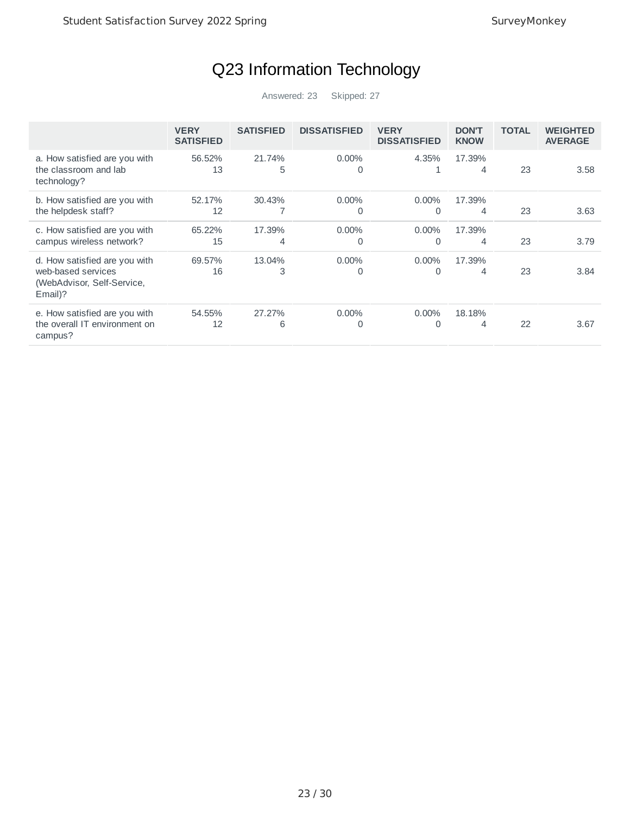## Q23 Information Technology

|                                                                                              | <b>VERY</b><br><b>SATISFIED</b> | <b>SATISFIED</b> | <b>DISSATISFIED</b>  | <b>VERY</b><br><b>DISSATISFIED</b> | <b>DON'T</b><br><b>KNOW</b> | <b>TOTAL</b> | <b>WEIGHTED</b><br><b>AVERAGE</b> |
|----------------------------------------------------------------------------------------------|---------------------------------|------------------|----------------------|------------------------------------|-----------------------------|--------------|-----------------------------------|
| a. How satisfied are you with<br>the classroom and lab<br>technology?                        | 56.52%<br>13                    | 21.74%<br>5      | $0.00\%$<br>$\Omega$ | 4.35%                              | 17.39%<br>4                 | 23           | 3.58                              |
| b. How satisfied are you with<br>the helpdesk staff?                                         | 52.17%<br>12                    | 30.43%           | $0.00\%$<br>0        | $0.00\%$<br>$\Omega$               | 17.39%<br>4                 | 23           | 3.63                              |
| c. How satisfied are you with<br>campus wireless network?                                    | 65.22%<br>15                    | 17.39%<br>4      | $0.00\%$<br>0        | $0.00\%$<br>0                      | 17.39%<br>4                 | 23           | 3.79                              |
| d. How satisfied are you with<br>web-based services<br>(WebAdvisor, Self-Service,<br>Email)? | 69.57%<br>16                    | 13.04%<br>3      | $0.00\%$<br>0        | $0.00\%$<br>0                      | 17.39%<br>4                 | 23           | 3.84                              |
| e. How satisfied are you with<br>the overall IT environment on<br>campus?                    | 54.55%<br>12                    | 27.27%<br>6      | $0.00\%$<br>0        | $0.00\%$<br>0                      | 18.18%<br>4                 | 22           | 3.67                              |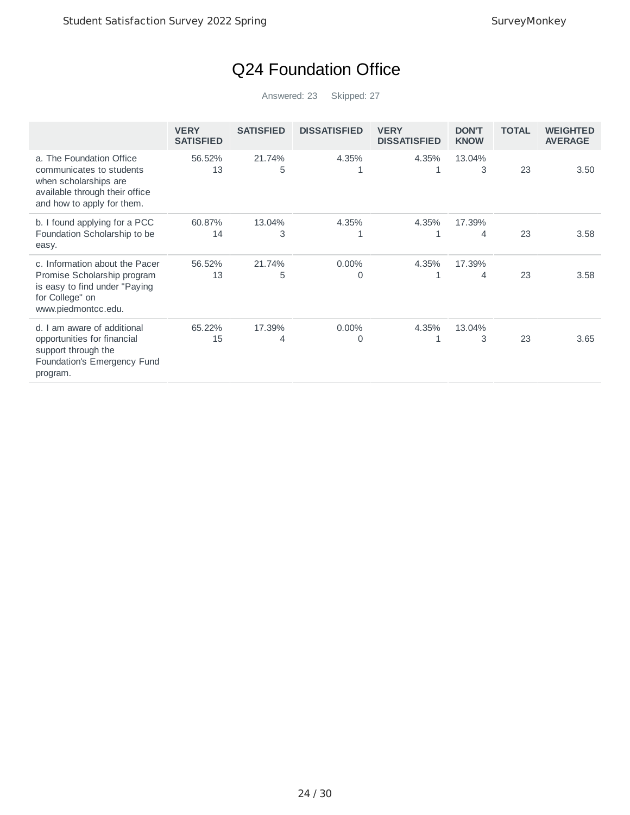## Q24 Foundation Office

|                                                                                                                                               | <b>VERY</b><br><b>SATISFIED</b> | <b>SATISFIED</b> | <b>DISSATISFIED</b> | <b>VERY</b><br><b>DISSATISFIED</b> | <b>DON'T</b><br><b>KNOW</b> | <b>TOTAL</b> | <b>WEIGHTED</b><br><b>AVERAGE</b> |
|-----------------------------------------------------------------------------------------------------------------------------------------------|---------------------------------|------------------|---------------------|------------------------------------|-----------------------------|--------------|-----------------------------------|
| a. The Foundation Office<br>communicates to students<br>when scholarships are<br>available through their office<br>and how to apply for them. | 56.52%<br>13                    | 21.74%<br>5      | 4.35%<br>1          | 4.35%                              | 13.04%<br>3                 | 23           | 3.50                              |
| b. I found applying for a PCC<br>Foundation Scholarship to be<br>easy.                                                                        | 60.87%<br>14                    | 13.04%<br>3      | 4.35%<br>1          | 4.35%<br>1                         | 17.39%<br>4                 | 23           | 3.58                              |
| c. Information about the Pacer<br>Promise Scholarship program<br>is easy to find under "Paying<br>for College" on<br>www.piedmontcc.edu.      | 56.52%<br>13                    | 21.74%<br>5      | $0.00\%$<br>0       | 4.35%<br>1                         | 17.39%<br>4                 | 23           | 3.58                              |
| am aware of additional<br>d.1<br>opportunities for financial<br>support through the<br>Foundation's Emergency Fund<br>program.                | 65.22%<br>15                    | 17.39%<br>4      | $0.00\%$<br>0       | 4.35%<br>1                         | 13.04%<br>3                 | 23           | 3.65                              |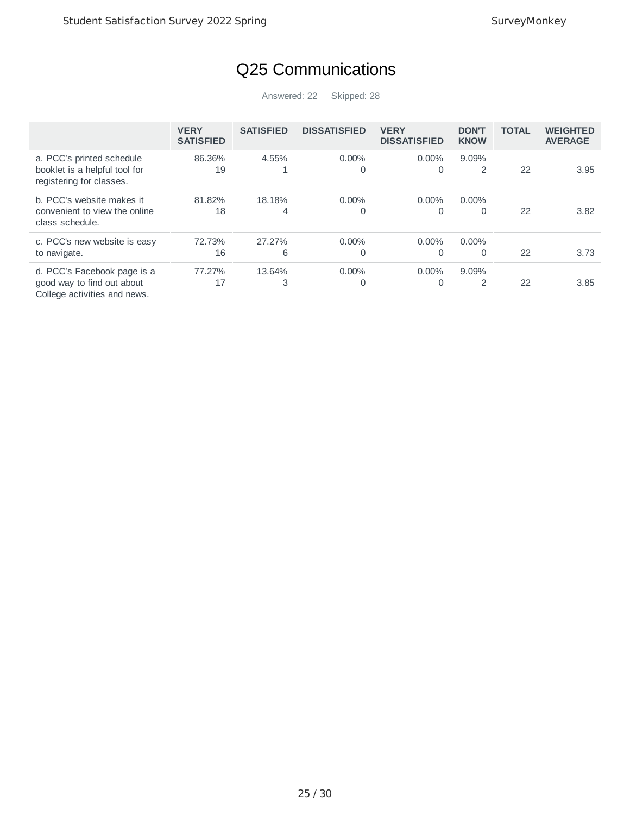## Q25 Communications

|                                                                                           | <b>VERY</b><br><b>SATISFIED</b> | <b>SATISFIED</b> | <b>DISSATISFIED</b> | <b>VERY</b><br><b>DISSATISFIED</b> | <b>DON'T</b><br><b>KNOW</b> | <b>TOTAL</b> | <b>WEIGHTED</b><br><b>AVERAGE</b> |
|-------------------------------------------------------------------------------------------|---------------------------------|------------------|---------------------|------------------------------------|-----------------------------|--------------|-----------------------------------|
| a. PCC's printed schedule<br>booklet is a helpful tool for<br>registering for classes.    | 86.36%<br>19                    | 4.55%            | $0.00\%$<br>0       | $0.00\%$                           | $9.09\%$<br>2               | 22           | 3.95                              |
| b. PCC's website makes it<br>convenient to view the online<br>class schedule.             | 81.82%<br>18                    | 18.18%<br>4      | $0.00\%$<br>0       | $0.00\%$<br>0                      | $0.00\%$<br>0               | 22           | 3.82                              |
| c. PCC's new website is easy<br>to navigate.                                              | 72.73%<br>16                    | 27.27%<br>6      | $0.00\%$<br>0       | $0.00\%$                           | $0.00\%$<br>0               | 22           | 3.73                              |
| d. PCC's Facebook page is a<br>good way to find out about<br>College activities and news. | 77.27%<br>17                    | 13.64%<br>3      | $0.00\%$<br>0       | $0.00\%$                           | 9.09%<br>$\overline{2}$     | 22           | 3.85                              |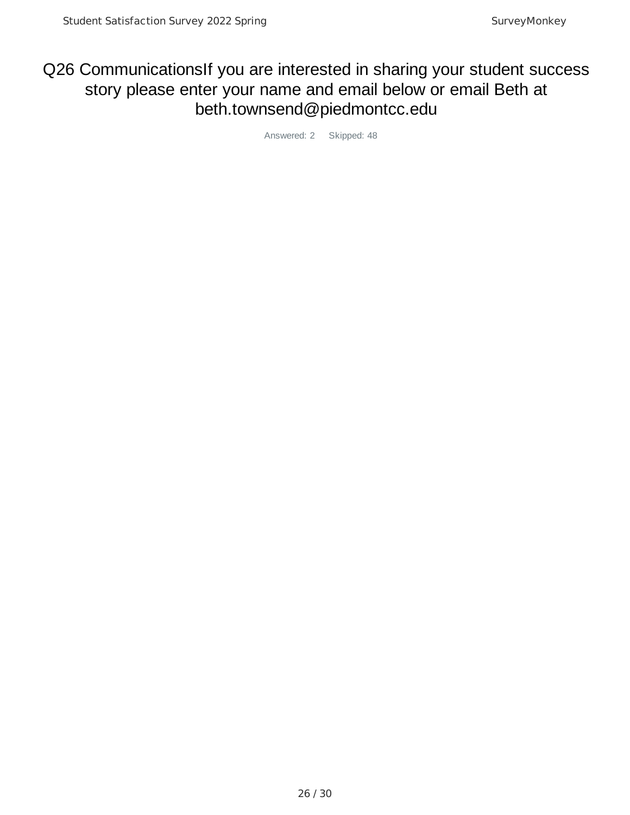#### Q26 CommunicationsIf you are interested in sharing your student success story please enter your name and email below or email Beth at beth.townsend@piedmontcc.edu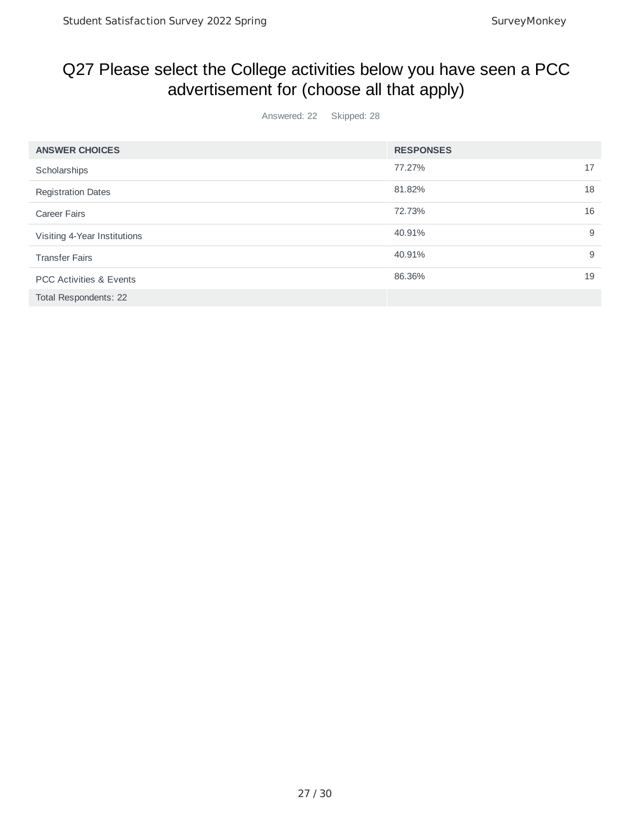#### Q27 Please select the College activities below you have seen a PCC advertisement for (choose all that apply)

| <b>ANSWER CHOICES</b>              | <b>RESPONSES</b> |    |
|------------------------------------|------------------|----|
| Scholarships                       | 77.27%           | 17 |
| <b>Registration Dates</b>          | 81.82%           | 18 |
| <b>Career Fairs</b>                | 72.73%           | 16 |
| Visiting 4-Year Institutions       | 40.91%           | 9  |
| <b>Transfer Fairs</b>              | 40.91%           | 9  |
| <b>PCC Activities &amp; Events</b> | 86.36%           | 19 |
| Total Respondents: 22              |                  |    |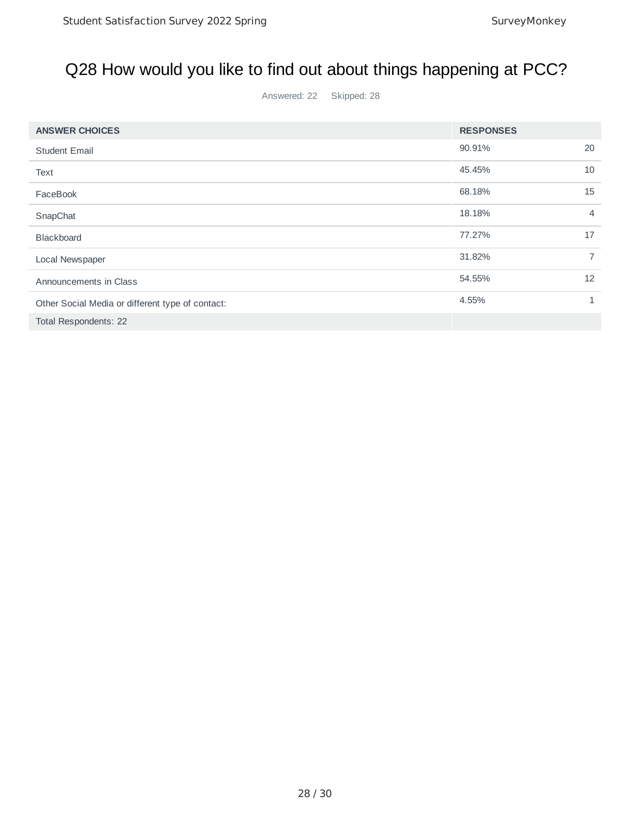## Q28 How would you like to find out about things happening at PCC?

| <b>ANSWER CHOICES</b>                            | <b>RESPONSES</b> |                |
|--------------------------------------------------|------------------|----------------|
| <b>Student Email</b>                             | 90.91%           | 20             |
| Text                                             | 45.45%           | 10             |
| FaceBook                                         | 68.18%           | 15             |
| SnapChat                                         | 18.18%           | 4              |
| <b>Blackboard</b>                                | 77.27%           | 17             |
| Local Newspaper                                  | 31.82%           | $\overline{7}$ |
| Announcements in Class                           | 54.55%           | 12             |
| Other Social Media or different type of contact: | 4.55%            | 1              |
| Total Respondents: 22                            |                  |                |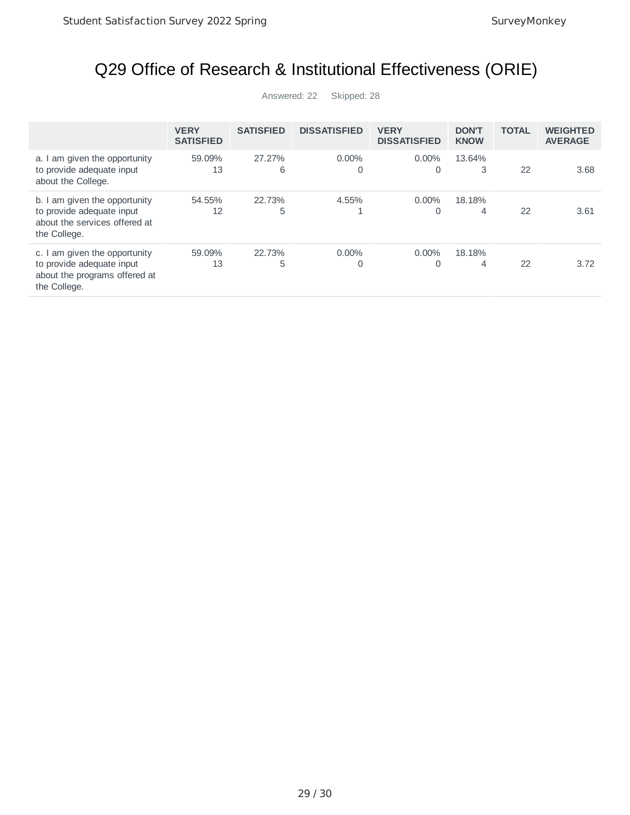# Q29 Office of Research & Institutional Effectiveness (ORIE)

|                                                                                                             | <b>VERY</b><br><b>SATISFIED</b> | <b>SATISFIED</b> | <b>DISSATISFIED</b> | <b>VERY</b><br><b>DISSATISFIED</b> | <b>DON'T</b><br><b>KNOW</b> | <b>TOTAL</b> | <b>WEIGHTED</b><br><b>AVERAGE</b> |
|-------------------------------------------------------------------------------------------------------------|---------------------------------|------------------|---------------------|------------------------------------|-----------------------------|--------------|-----------------------------------|
| a. I am given the opportunity<br>to provide adequate input<br>about the College.                            | 59.09%<br>13                    | 27.27%<br>6      | $0.00\%$<br>0       | $0.00\%$<br>0                      | 13.64%<br>3                 | 22           | 3.68                              |
| b. I am given the opportunity<br>to provide adequate input<br>about the services offered at<br>the College. | 54.55%<br>12                    | 22.73%<br>5      | 4.55%               | $0.00\%$<br>0                      | 18.18%<br>4                 | 22           | 3.61                              |
| c. I am given the opportunity<br>to provide adequate input<br>about the programs offered at<br>the College. | 59.09%<br>13                    | 22.73%<br>5      | $0.00\%$<br>0       | $0.00\%$<br>0                      | 18.18%<br>4                 | 22           | 3.72                              |